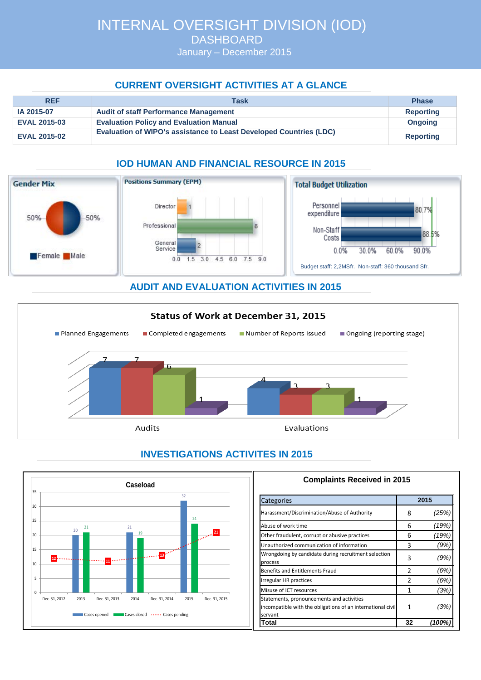January – December 2015

## **CURRENT OVERSIGHT ACTIVITIES AT A GLANCE**

| <b>REF</b>          | Task                                                                      | <b>Phase</b>     |
|---------------------|---------------------------------------------------------------------------|------------------|
| IA 2015-07          | <b>Audit of staff Performance Management</b>                              | <b>Reporting</b> |
| <b>EVAL 2015-03</b> | <b>Evaluation Policy and Evaluation Manual</b>                            | <b>Ongoing</b>   |
| <b>EVAL 2015-02</b> | <b>Evaluation of WIPO's assistance to Least Developed Countries (LDC)</b> | <b>Reporting</b> |

# **IOD HUMAN AND FINANCIAL RESOURCE IN 2015**



### **AUDIT AND EVALUATION ACTIVITIES IN 2015**



# **INVESTIGATIONS ACTIVITES IN 2015**



| <b>Complaints Received in 2015</b>                                                                                  |      |       |  |
|---------------------------------------------------------------------------------------------------------------------|------|-------|--|
| Categories                                                                                                          | 2015 |       |  |
| Harassment/Discrimination/Abuse of Authority                                                                        | 8    | (25%) |  |
| Abuse of work time                                                                                                  |      | (19%) |  |
| Other fraudulent, corrupt or abusive practices                                                                      |      | (19%) |  |
| Unauthorized communication of information                                                                           |      | (9%)  |  |
| Wrongdoing by candidate during recruitment selection<br>process                                                     |      | (9%)  |  |
| Benefits and Entitlements Fraud                                                                                     | 2    | (6%,  |  |
| Irregular HR practices                                                                                              |      | (6%)  |  |
| Misuse of ICT resources                                                                                             | 1    | (3%,  |  |
| Statements, pronouncements and activities<br>incompatible with the obligations of an international civil<br>servant | 1    | (3%   |  |
| lTotal                                                                                                              | 32   | 100'  |  |